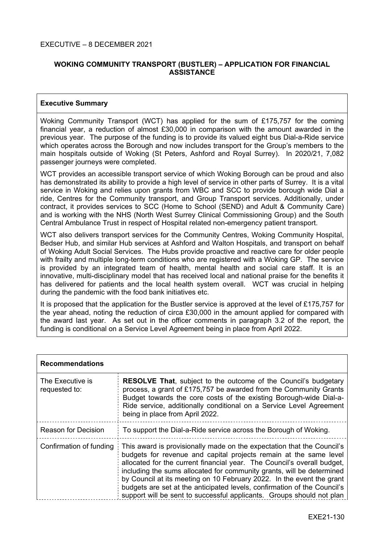# **WOKING COMMUNITY TRANSPORT (BUSTLER) – APPLICATION FOR FINANCIAL ASSISTANCE**

## **Executive Summary**

Woking Community Transport (WCT) has applied for the sum of £175,757 for the coming financial year, a reduction of almost £30,000 in comparison with the amount awarded in the previous year. The purpose of the funding is to provide its valued eight bus Dial-a-Ride service which operates across the Borough and now includes transport for the Group's members to the main hospitals outside of Woking (St Peters, Ashford and Royal Surrey). In 2020/21, 7,082 passenger journeys were completed.

WCT provides an accessible transport service of which Woking Borough can be proud and also has demonstrated its ability to provide a high level of service in other parts of Surrey. It is a vital service in Woking and relies upon grants from WBC and SCC to provide borough wide Dial a ride, Centres for the Community transport, and Group Transport services. Additionally, under contract, it provides services to SCC (Home to School (SEND) and Adult & Community Care) and is working with the NHS (North West Surrey Clinical Commissioning Group) and the South Central Ambulance Trust in respect of Hospital related non-emergency patient transport.

WCT also delivers transport services for the Community Centres, Woking Community Hospital, Bedser Hub, and similar Hub services at Ashford and Walton Hospitals, and transport on behalf of Woking Adult Social Services. The Hubs provide proactive and reactive care for older people with frailty and multiple long-term conditions who are registered with a Woking GP. The service is provided by an integrated team of health, mental health and social care staff. It is an innovative, multi-disciplinary model that has received local and national praise for the benefits it has delivered for patients and the local health system overall. WCT was crucial in helping during the pandemic with the food bank initiatives etc.

It is proposed that the application for the Bustler service is approved at the level of £175,757 for the year ahead, noting the reduction of circa £30,000 in the amount applied for compared with the award last year. As set out in the officer comments in paragraph 3.2 of the report, the funding is conditional on a Service Level Agreement being in place from April 2022.

| <b>Recommendations</b>            |                                                                                                                                                                                                                                                                                                                                                                                                                                                                                                                               |
|-----------------------------------|-------------------------------------------------------------------------------------------------------------------------------------------------------------------------------------------------------------------------------------------------------------------------------------------------------------------------------------------------------------------------------------------------------------------------------------------------------------------------------------------------------------------------------|
| The Executive is<br>requested to: | <b>RESOLVE That, subject to the outcome of the Council's budgetary</b><br>process, a grant of £175,757 be awarded from the Community Grants<br>Budget towards the core costs of the existing Borough-wide Dial-a-<br>Ride service, additionally conditional on a Service Level Agreement<br>being in place from April 2022.                                                                                                                                                                                                   |
| <b>Reason for Decision</b>        | To support the Dial-a-Ride service across the Borough of Woking.                                                                                                                                                                                                                                                                                                                                                                                                                                                              |
| Confirmation of funding           | This award is provisionally made on the expectation that the Council's<br>budgets for revenue and capital projects remain at the same level<br>allocated for the current financial year. The Council's overall budget,<br>including the sums allocated for community grants, will be determined<br>by Council at its meeting on 10 February 2022. In the event the grant<br>budgets are set at the anticipated levels, confirmation of the Council's<br>support will be sent to successful applicants. Groups should not plan |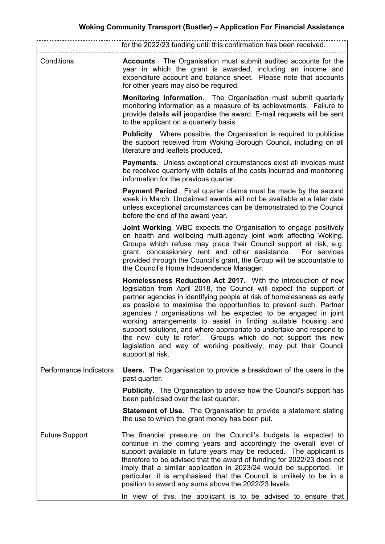|                        | for the 2022/23 funding until this confirmation has been received.                                                                                                                                                                                                                                                                                                                                                                                                                                                                                                                                                                                           |
|------------------------|--------------------------------------------------------------------------------------------------------------------------------------------------------------------------------------------------------------------------------------------------------------------------------------------------------------------------------------------------------------------------------------------------------------------------------------------------------------------------------------------------------------------------------------------------------------------------------------------------------------------------------------------------------------|
| Conditions             | <b>Accounts.</b> The Organisation must submit audited accounts for the<br>year in which the grant is awarded, including an income and<br>expenditure account and balance sheet. Please note that accounts<br>for other years may also be required.                                                                                                                                                                                                                                                                                                                                                                                                           |
|                        | <b>Monitoring Information.</b> The Organisation must submit quarterly<br>monitoring information as a measure of its achievements. Failure to<br>provide details will jeopardise the award. E-mail requests will be sent<br>to the applicant on a quarterly basis.                                                                                                                                                                                                                                                                                                                                                                                            |
|                        | <b>Publicity.</b> Where possible, the Organisation is required to publicise<br>the support received from Woking Borough Council, including on all<br>literature and leaflets produced.                                                                                                                                                                                                                                                                                                                                                                                                                                                                       |
|                        | <b>Payments.</b> Unless exceptional circumstances exist all invoices must<br>be received quarterly with details of the costs incurred and monitoring<br>information for the previous quarter.                                                                                                                                                                                                                                                                                                                                                                                                                                                                |
|                        | <b>Payment Period.</b> Final quarter claims must be made by the second<br>week in March. Unclaimed awards will not be available at a later date<br>unless exceptional circumstances can be demonstrated to the Council<br>before the end of the award year.                                                                                                                                                                                                                                                                                                                                                                                                  |
|                        | <b>Joint Working.</b> WBC expects the Organisation to engage positively<br>on health and wellbeing multi-agency joint work affecting Woking.<br>Groups which refuse may place their Council support at risk, e.g.<br>grant, concessionary rent and other assistance.<br>For services<br>provided through the Council's grant, the Group will be accountable to<br>the Council's Home Independence Manager.                                                                                                                                                                                                                                                   |
|                        | Homelessness Reduction Act 2017. With the introduction of new<br>legislation from April 2018, the Council will expect the support of<br>partner agencies in identifying people at risk of homelessness as early<br>as possible to maximise the opportunities to prevent such. Partner<br>agencies / organisations will be expected to be engaged in joint<br>working arrangements to assist in finding suitable housing and<br>support solutions, and where appropriate to undertake and respond to<br>the new 'duty to refer'. Groups which do not support this new<br>legislation and way of working positively, may put their Council<br>support at risk. |
| Performance Indicators | <b>Users.</b> The Organisation to provide a breakdown of the users in the<br>past quarter.<br><b>Publicity.</b> The Organisation to advise how the Council's support has                                                                                                                                                                                                                                                                                                                                                                                                                                                                                     |
|                        | been publicised over the last quarter.<br><b>Statement of Use.</b> The Organisation to provide a statement stating<br>the use to which the grant money has been put.                                                                                                                                                                                                                                                                                                                                                                                                                                                                                         |
| <b>Future Support</b>  | The financial pressure on the Council's budgets is expected to<br>continue in the coming years and accordingly the overall level of<br>support available in future years may be reduced. The applicant is<br>therefore to be advised that the award of funding for 2022/23 does not<br>imply that a similar application in 2023/24 would be supported. In<br>particular, it is emphasised that the Council is unlikely to be in a<br>position to award any sums above the 2022/23 levels.                                                                                                                                                                    |
|                        | In view of this, the applicant is to be advised to ensure that                                                                                                                                                                                                                                                                                                                                                                                                                                                                                                                                                                                               |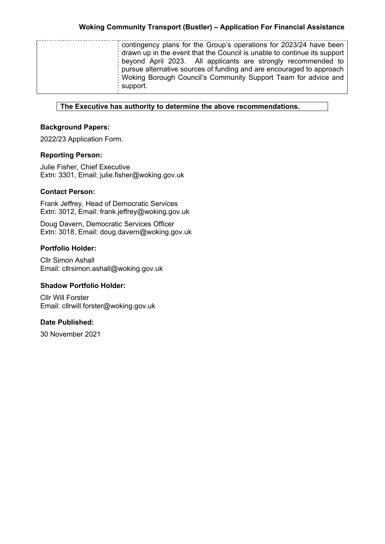contingency plans for the Group's operations for 2023/24 have been drawn up in the event that the Council is unable to continue its support beyond April 2023. All applicants are strongly recommended to pursue alternative sources of funding and are encouraged to approach Woking Borough Council's Community Support Team for advice and support.

# **The Executive has authority to determine the above recommendations.**

# **Background Papers:**

2022/23 Application Form.

# **Reporting Person:**

Julie Fisher, Chief Executive Extn: 3301, Email: julie.fisher@woking.gov.uk

## **Contact Person:**

Frank Jeffrey, Head of Democratic Services Extn: 3012, Email: frank.jeffrey@woking.gov.uk

Doug Davern, Democratic Services Officer Extn: 3018, Email: doug.davern@woking.gov.uk

## **Portfolio Holder:**

Cllr Simon Ashall Email: cllrsimon.ashall@woking.gov.uk

## **Shadow Portfolio Holder:**

Cllr Will Forster Email: cllrwill.forster@woking.gov.uk

## **Date Published:**

30 November 2021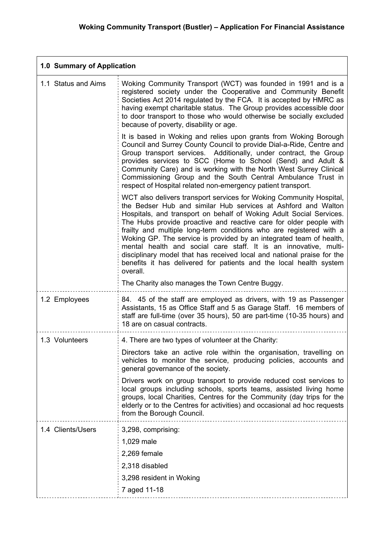| 1.0 Summary of Application |                                                                                                                                                                                                                                                                                                                                                                                                                                                                                                                                                                                                                                                                                                                    |
|----------------------------|--------------------------------------------------------------------------------------------------------------------------------------------------------------------------------------------------------------------------------------------------------------------------------------------------------------------------------------------------------------------------------------------------------------------------------------------------------------------------------------------------------------------------------------------------------------------------------------------------------------------------------------------------------------------------------------------------------------------|
| 1.1 Status and Aims        | Woking Community Transport (WCT) was founded in 1991 and is a<br>registered society under the Cooperative and Community Benefit<br>Societies Act 2014 regulated by the FCA. It is accepted by HMRC as<br>having exempt charitable status. The Group provides accessible door<br>to door transport to those who would otherwise be socially excluded<br>because of poverty, disability or age.                                                                                                                                                                                                                                                                                                                      |
|                            | It is based in Woking and relies upon grants from Woking Borough<br>Council and Surrey County Council to provide Dial-a-Ride, Centre and<br>Group transport services. Additionally, under contract, the Group<br>provides services to SCC (Home to School (Send) and Adult &<br>Community Care) and is working with the North West Surrey Clinical<br>Commissioning Group and the South Central Ambulance Trust in<br>respect of Hospital related non-emergency patient transport.                                                                                                                                                                                                                                 |
|                            | WCT also delivers transport services for Woking Community Hospital,<br>the Bedser Hub and similar Hub services at Ashford and Walton<br>Hospitals, and transport on behalf of Woking Adult Social Services.<br>The Hubs provide proactive and reactive care for older people with<br>frailty and multiple long-term conditions who are registered with a<br>Woking GP. The service is provided by an integrated team of health,<br>mental health and social care staff. It is an innovative, multi-<br>disciplinary model that has received local and national praise for the<br>benefits it has delivered for patients and the local health system<br>overall.<br>The Charity also manages the Town Centre Buggy. |
|                            |                                                                                                                                                                                                                                                                                                                                                                                                                                                                                                                                                                                                                                                                                                                    |
| 1.2 Employees              | 84. 45 of the staff are employed as drivers, with 19 as Passenger<br>Assistants, 15 as Office Staff and 5 as Garage Staff. 16 members of<br>staff are full-time (over 35 hours), 50 are part-time (10-35 hours) and<br>18 are on casual contracts.                                                                                                                                                                                                                                                                                                                                                                                                                                                                 |
| 1.3 Volunteers             | 4. There are two types of volunteer at the Charity:                                                                                                                                                                                                                                                                                                                                                                                                                                                                                                                                                                                                                                                                |
|                            | Directors take an active role within the organisation, travelling on<br>vehicles to monitor the service, producing policies, accounts and<br>general governance of the society.                                                                                                                                                                                                                                                                                                                                                                                                                                                                                                                                    |
|                            | Drivers work on group transport to provide reduced cost services to<br>local groups including schools, sports teams, assisted living home<br>groups, local Charities, Centres for the Community (day trips for the<br>elderly or to the Centres for activities) and occasional ad hoc requests<br>from the Borough Council.                                                                                                                                                                                                                                                                                                                                                                                        |
| 1.4 Clients/Users          | 3,298, comprising:                                                                                                                                                                                                                                                                                                                                                                                                                                                                                                                                                                                                                                                                                                 |
|                            | 1,029 male                                                                                                                                                                                                                                                                                                                                                                                                                                                                                                                                                                                                                                                                                                         |
|                            | 2,269 female                                                                                                                                                                                                                                                                                                                                                                                                                                                                                                                                                                                                                                                                                                       |
|                            | 2,318 disabled                                                                                                                                                                                                                                                                                                                                                                                                                                                                                                                                                                                                                                                                                                     |
|                            | 3,298 resident in Woking                                                                                                                                                                                                                                                                                                                                                                                                                                                                                                                                                                                                                                                                                           |
|                            | 7 aged 11-18                                                                                                                                                                                                                                                                                                                                                                                                                                                                                                                                                                                                                                                                                                       |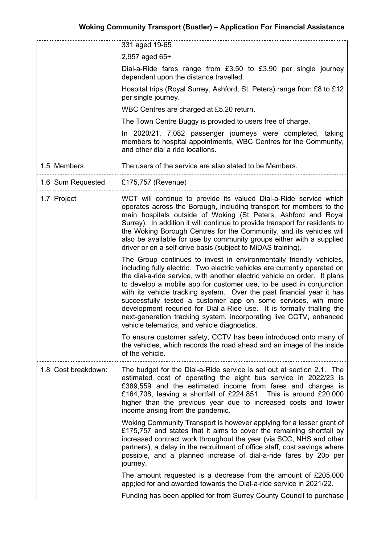|                     | 331 aged 19-65                                                                                                                                                                                                                                                                                                                                                                                                                                                                                                                                                                                                                                 |
|---------------------|------------------------------------------------------------------------------------------------------------------------------------------------------------------------------------------------------------------------------------------------------------------------------------------------------------------------------------------------------------------------------------------------------------------------------------------------------------------------------------------------------------------------------------------------------------------------------------------------------------------------------------------------|
|                     | 2,957 aged 65+                                                                                                                                                                                                                                                                                                                                                                                                                                                                                                                                                                                                                                 |
|                     | Dial-a-Ride fares range from £3.50 to £3.90 per single journey<br>dependent upon the distance travelled.                                                                                                                                                                                                                                                                                                                                                                                                                                                                                                                                       |
|                     | Hospital trips (Royal Surrey, Ashford, St. Peters) range from £8 to £12<br>per single journey.                                                                                                                                                                                                                                                                                                                                                                                                                                                                                                                                                 |
|                     | WBC Centres are charged at £5.20 return.                                                                                                                                                                                                                                                                                                                                                                                                                                                                                                                                                                                                       |
|                     | The Town Centre Buggy is provided to users free of charge.                                                                                                                                                                                                                                                                                                                                                                                                                                                                                                                                                                                     |
|                     | In 2020/21, 7,082 passenger journeys were completed, taking<br>members to hospital appointments, WBC Centres for the Community,<br>and other dial a ride locations.                                                                                                                                                                                                                                                                                                                                                                                                                                                                            |
| 1.5 Members         | The users of the service are also stated to be Members.                                                                                                                                                                                                                                                                                                                                                                                                                                                                                                                                                                                        |
| 1.6 Sum Requested   | £175,757 (Revenue)                                                                                                                                                                                                                                                                                                                                                                                                                                                                                                                                                                                                                             |
| 1.7 Project         | WCT will continue to provide its valued Dial-a-Ride service which<br>operates across the Borough, including transport for members to the<br>main hospitals outside of Woking (St Peters, Ashford and Royal<br>Surrey). In addition it will continue to provide transport for residents to<br>the Woking Borough Centres for the Community, and its vehicles will<br>also be available for use by community groups either with a supplied<br>driver or on a self-drive basis (subject to MiDAS training).                                                                                                                                       |
|                     | The Group continues to invest in environmentally friendly vehicles,<br>including fully electric. Two electric vehicles are currently operated on<br>the dial-a-ride service, with another electric vehicle on order. It plans<br>to develop a mobile app for customer use, to be used in conjunction<br>with its vehicle tracking system. Over the past financial year it has<br>successfully tested a customer app on some services, wih more<br>development requried for Dial-a-Ride use. It is formally trialling the<br>next-generation tracking system, incorporating live CCTV, enhanced<br>vehicle telematics, and vehicle diagnostics. |
|                     | To ensure customer safety, CCTV has been introduced onto many of<br>the vehicles, which records the road ahead and an image of the inside<br>of the vehicle.                                                                                                                                                                                                                                                                                                                                                                                                                                                                                   |
| 1.8 Cost breakdown: | The budget for the Dial-a-Ride service is set out at section 2.1. The<br>estimated cost of operating the eight bus service in 2022/23 is<br>£389,559 and the estimated income from fares and charges is<br>£164,708, leaving a shortfall of £224,851. This is around £20,000<br>higher than the previous year due to increased costs and lower<br>income arising from the pandemic.                                                                                                                                                                                                                                                            |
|                     | Woking Community Transport is however applying for a lesser grant of<br>£175,757 and states that it aims to cover the remaining shortfall by<br>increased contract work throughout the year (via SCC, NHS and other<br>partners), a delay in the recruitment of office staff, cost savings where<br>possible, and a planned increase of dial-a-ride fares by 20p per<br>journey.                                                                                                                                                                                                                                                               |
|                     | The amount requested is a decrease from the amount of $£205,000$<br>app; ied for and awarded towards the Dial-a-ride service in 2021/22.                                                                                                                                                                                                                                                                                                                                                                                                                                                                                                       |
|                     | Funding has been applied for from Surrey County Council to purchase                                                                                                                                                                                                                                                                                                                                                                                                                                                                                                                                                                            |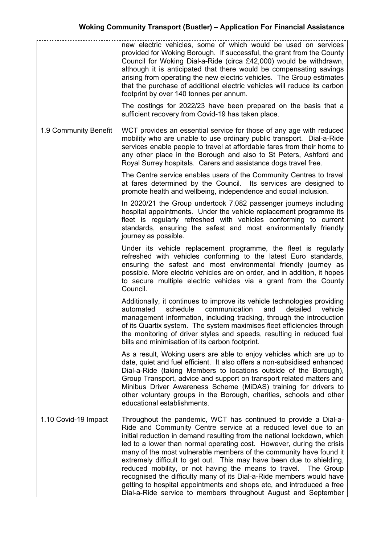|                       | new electric vehicles, some of which would be used on services<br>provided for Woking Borough. If successful, the grant from the County<br>Council for Woking Dial-a-Ride (circa £42,000) would be withdrawn,<br>although it is anticipated that there would be compensating savings<br>arising from operating the new electric vehicles. The Group estimates<br>that the purchase of additional electric vehicles will reduce its carbon<br>footprint by over 140 tonnes per annum.<br>The costings for 2022/23 have been prepared on the basis that a                                                                                                                                                                     |
|-----------------------|-----------------------------------------------------------------------------------------------------------------------------------------------------------------------------------------------------------------------------------------------------------------------------------------------------------------------------------------------------------------------------------------------------------------------------------------------------------------------------------------------------------------------------------------------------------------------------------------------------------------------------------------------------------------------------------------------------------------------------|
|                       | sufficient recovery from Covid-19 has taken place.                                                                                                                                                                                                                                                                                                                                                                                                                                                                                                                                                                                                                                                                          |
| 1.9 Community Benefit | WCT provides an essential service for those of any age with reduced<br>mobility who are unable to use ordinary public transport. Dial-a-Ride<br>services enable people to travel at affordable fares from their home to<br>any other place in the Borough and also to St Peters, Ashford and<br>Royal Surrey hospitals. Carers and assistance dogs travel free.                                                                                                                                                                                                                                                                                                                                                             |
|                       | The Centre service enables users of the Community Centres to travel<br>at fares determined by the Council. Its services are designed to<br>promote health and wellbeing, independence and social inclusion.                                                                                                                                                                                                                                                                                                                                                                                                                                                                                                                 |
|                       | In 2020/21 the Group undertook 7,082 passenger journeys including<br>hospital appointments. Under the vehicle replacement programme its<br>fleet is regularly refreshed with vehicles conforming to current<br>standards, ensuring the safest and most environmentally friendly<br>journey as possible.                                                                                                                                                                                                                                                                                                                                                                                                                     |
|                       | Under its vehicle replacement programme, the fleet is regularly<br>refreshed with vehicles conforming to the latest Euro standards,<br>ensuring the safest and most environmental friendly journey as<br>possible. More electric vehicles are on order, and in addition, it hopes<br>to secure multiple electric vehicles via a grant from the County<br>Council.                                                                                                                                                                                                                                                                                                                                                           |
|                       | Additionally, it continues to improve its vehicle technologies providing<br>schedule<br>vehicle<br>automated<br>communication<br>and<br>detailed<br>management information, including tracking, through the introduction<br>of its Quartix system. The system maximises fleet efficiencies through<br>the monitoring of driver styles and speeds, resulting in reduced fuel<br>bills and minimisation of its carbon footprint.                                                                                                                                                                                                                                                                                              |
|                       | As a result, Woking users are able to enjoy vehicles which are up to<br>date, quiet and fuel efficient. It also offers a non-subsidised enhanced<br>Dial-a-Ride (taking Members to locations outside of the Borough),<br>Group Transport, advice and support on transport related matters and<br>Minibus Driver Awareness Scheme (MiDAS) training for drivers to<br>other voluntary groups in the Borough, charities, schools and other<br>educational establishments.                                                                                                                                                                                                                                                      |
| 1.10 Covid-19 Impact  | Throughout the pandemic, WCT has continued to provide a Dial-a-<br>Ride and Community Centre service at a reduced level due to an<br>initial reduction in demand resulting from the national lockdown, which<br>led to a lower than normal operating cost. However, during the crisis<br>many of the most vulnerable members of the community have found it<br>extremely difficult to get out. This may have been due to shielding,<br>reduced mobility, or not having the means to travel.<br>The Group<br>recognised the difficulty many of its Dial-a-Ride members would have<br>getting to hospital appointments and shops etc, and introduced a free<br>Dial-a-Ride service to members throughout August and September |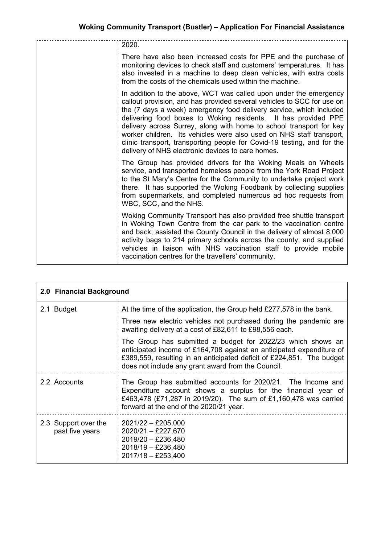| 2020.                                                                                                                                                                                                                                                                                                                                                                                                                                                                                                                                                               |
|---------------------------------------------------------------------------------------------------------------------------------------------------------------------------------------------------------------------------------------------------------------------------------------------------------------------------------------------------------------------------------------------------------------------------------------------------------------------------------------------------------------------------------------------------------------------|
| There have also been increased costs for PPE and the purchase of<br>monitoring devices to check staff and customers' temperatures. It has<br>also invested in a machine to deep clean vehicles, with extra costs<br>from the costs of the chemicals used within the machine.                                                                                                                                                                                                                                                                                        |
| In addition to the above, WCT was called upon under the emergency<br>callout provision, and has provided several vehicles to SCC for use on<br>the (7 days a week) emergency food delivery service, which included<br>delivering food boxes to Woking residents. It has provided PPE<br>delivery across Surrey, along with home to school transport for key<br>worker children. Its vehicles were also used on NHS staff transport,<br>clinic transport, transporting people for Covid-19 testing, and for the<br>delivery of NHS electronic devices to care homes. |
| The Group has provided drivers for the Woking Meals on Wheels<br>service, and transported homeless people from the York Road Project<br>to the St Mary's Centre for the Community to undertake project work<br>there. It has supported the Woking Foodbank by collecting supplies<br>from supermarkets, and completed numerous ad hoc requests from<br>WBC, SCC, and the NHS.                                                                                                                                                                                       |
| Woking Community Transport has also provided free shuttle transport<br>in Woking Town Centre from the car park to the vaccination centre<br>and back; assisted the County Council in the delivery of almost 8,000<br>activity bags to 214 primary schools across the county; and supplied<br>vehicles in liaison with NHS vaccination staff to provide mobile<br>vaccination centres for the travellers' community.                                                                                                                                                 |

| 2.0 Financial Background                |                                                                                                                                                                                                                                                                    |
|-----------------------------------------|--------------------------------------------------------------------------------------------------------------------------------------------------------------------------------------------------------------------------------------------------------------------|
| 2.1 Budget                              | At the time of the application, the Group held £277,578 in the bank.                                                                                                                                                                                               |
|                                         | Three new electric vehicles not purchased during the pandemic are<br>awaiting delivery at a cost of £82,611 to £98,556 each.                                                                                                                                       |
|                                         | The Group has submitted a budget for 2022/23 which shows an<br>anticipated income of £164,708 against an anticipated expenditure of<br>£389,559, resulting in an anticipated deficit of £224,851. The budget<br>does not include any grant award from the Council. |
| 2.2 Accounts                            | The Group has submitted accounts for 2020/21. The Income and<br>Expenditure account shows a surplus for the financial year of<br>£463,478 (£71,287 in 2019/20). The sum of £1,160,478 was carried<br>forward at the end of the 2020/21 year.                       |
| 2.3 Support over the<br>past five years | $2021/22 - £205,000$<br>$2020/21 - \pounds227,670$<br>$2019/20 - \pounds236,480$<br>2018/19 - £236,480<br>$2017/18 - £253,400$                                                                                                                                     |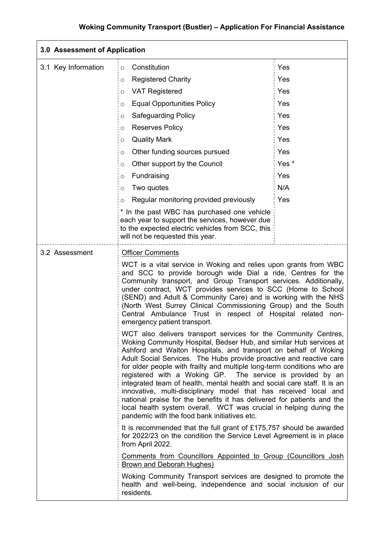| 3.0 Assessment of Application |                                                                                                                                                                                                                                                                                                                                                                                                                                                                                                                                                                                                                                                                                                                                                                          |       |
|-------------------------------|--------------------------------------------------------------------------------------------------------------------------------------------------------------------------------------------------------------------------------------------------------------------------------------------------------------------------------------------------------------------------------------------------------------------------------------------------------------------------------------------------------------------------------------------------------------------------------------------------------------------------------------------------------------------------------------------------------------------------------------------------------------------------|-------|
| 3.1 Key Information           | Constitution<br>$\circ$                                                                                                                                                                                                                                                                                                                                                                                                                                                                                                                                                                                                                                                                                                                                                  | Yes   |
|                               | <b>Registered Charity</b><br>O                                                                                                                                                                                                                                                                                                                                                                                                                                                                                                                                                                                                                                                                                                                                           | Yes   |
|                               | <b>VAT Registered</b><br>O                                                                                                                                                                                                                                                                                                                                                                                                                                                                                                                                                                                                                                                                                                                                               | Yes   |
|                               | <b>Equal Opportunities Policy</b><br>O                                                                                                                                                                                                                                                                                                                                                                                                                                                                                                                                                                                                                                                                                                                                   | Yes   |
|                               | <b>Safeguarding Policy</b><br>O                                                                                                                                                                                                                                                                                                                                                                                                                                                                                                                                                                                                                                                                                                                                          | Yes   |
|                               | <b>Reserves Policy</b><br>O                                                                                                                                                                                                                                                                                                                                                                                                                                                                                                                                                                                                                                                                                                                                              | Yes   |
|                               | <b>Quality Mark</b><br>O                                                                                                                                                                                                                                                                                                                                                                                                                                                                                                                                                                                                                                                                                                                                                 | Yes   |
|                               | Other funding sources pursued<br>O                                                                                                                                                                                                                                                                                                                                                                                                                                                                                                                                                                                                                                                                                                                                       | Yes   |
|                               | Other support by the Council<br>$\circ$                                                                                                                                                                                                                                                                                                                                                                                                                                                                                                                                                                                                                                                                                                                                  | Yes * |
|                               | Fundraising<br>O                                                                                                                                                                                                                                                                                                                                                                                                                                                                                                                                                                                                                                                                                                                                                         | Yes   |
|                               | Two quotes<br>O                                                                                                                                                                                                                                                                                                                                                                                                                                                                                                                                                                                                                                                                                                                                                          | N/A   |
|                               | Regular monitoring provided previously<br>O                                                                                                                                                                                                                                                                                                                                                                                                                                                                                                                                                                                                                                                                                                                              | Yes   |
|                               | * In the past WBC has purchased one vehicle<br>each year to support the services, however due<br>to the expected electric vehicles from SCC, this<br>will not be requested this year.                                                                                                                                                                                                                                                                                                                                                                                                                                                                                                                                                                                    |       |
| 3.2 Assessment                | <b>Officer Comments</b>                                                                                                                                                                                                                                                                                                                                                                                                                                                                                                                                                                                                                                                                                                                                                  |       |
|                               | WCT is a vital service in Woking and relies upon grants from WBC<br>and SCC to provide borough wide Dial a ride, Centres for the<br>Community transport, and Group Transport services. Additionally,<br>under contract, WCT provides services to SCC (Home to School<br>(SEND) and Adult & Community Care) and is working with the NHS<br>(North West Surrey Clinical Commissioning Group) and the South<br>Central Ambulance Trust in respect of Hospital related<br>emergency patient transport.                                                                                                                                                                                                                                                                       | non-  |
|                               | WCT also delivers transport services for the Community Centres,<br>Woking Community Hospital, Bedser Hub, and similar Hub services at<br>Ashford and Walton Hospitals, and transport on behalf of Woking<br>Adult Social Services. The Hubs provide proactive and reactive care<br>for older people with frailty and multiple long-term conditions who are<br>registered with a Woking GP. The service is provided by an<br>integrated team of health, mental health and social care staff. It is an<br>innovative, multi-disciplinary model that has received local and<br>national praise for the benefits it has delivered for patients and the<br>local health system overall. WCT was crucial in helping during the<br>pandemic with the food bank initiatives etc. |       |
|                               | It is recommended that the full grant of £175,757 should be awarded<br>for 2022/23 on the condition the Service Level Agreement is in place<br>from April 2022.                                                                                                                                                                                                                                                                                                                                                                                                                                                                                                                                                                                                          |       |
|                               | Comments from Councillors Appointed to Group (Councillors Josh<br>Brown and Deborah Hughes)                                                                                                                                                                                                                                                                                                                                                                                                                                                                                                                                                                                                                                                                              |       |
|                               | Woking Community Transport services are designed to promote the<br>health and well-being, independence and social inclusion of our<br>residents.                                                                                                                                                                                                                                                                                                                                                                                                                                                                                                                                                                                                                         |       |